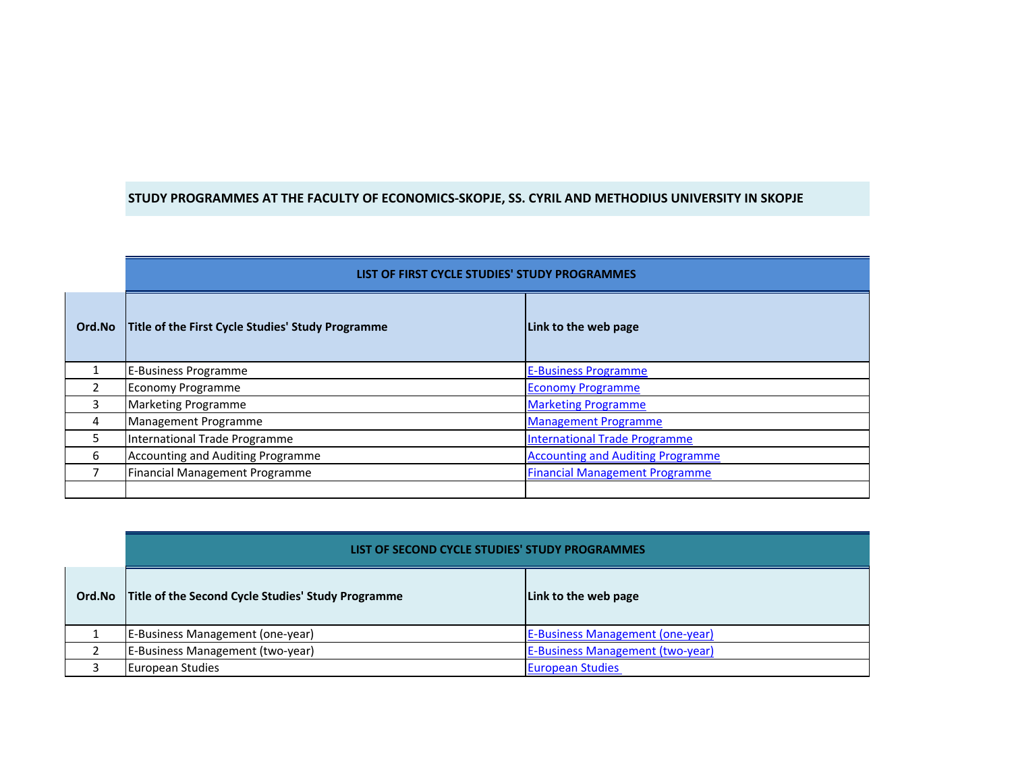## **STUDY PROGRAMMES AT THE FACULTY OF ECONOMICS-SKOPJE, SS. CYRIL AND METHODIUS UNIVERSITY IN SKOPJE**

|        | LIST OF FIRST CYCLE STUDIES' STUDY PROGRAMMES     |                                          |
|--------|---------------------------------------------------|------------------------------------------|
| Ord.No | Title of the First Cycle Studies' Study Programme | Link to the web page                     |
|        | E-Business Programme                              | <b>E-Business Programme</b>              |
|        | <b>Economy Programme</b>                          | <b>Economy Programme</b>                 |
| 3      | <b>Marketing Programme</b>                        | <b>Marketing Programme</b>               |
| 4      | Management Programme                              | <b>Management Programme</b>              |
| 5.     | International Trade Programme                     | <b>International Trade Programme</b>     |
| 6      | <b>Accounting and Auditing Programme</b>          | <b>Accounting and Auditing Programme</b> |
|        | Financial Management Programme                    | <b>Financial Management Programme</b>    |
|        |                                                   |                                          |

|        | LIST OF SECOND CYCLE STUDIES' STUDY PROGRAMMES     |                                         |
|--------|----------------------------------------------------|-----------------------------------------|
| Ord.No | Title of the Second Cycle Studies' Study Programme | Link to the web page                    |
|        | E-Business Management (one-year)                   | <b>E-Business Management (one-year)</b> |
|        | E-Business Management (two-year)                   | <b>E-Business Management (two-year)</b> |
| ົ      | <b>European Studies</b>                            | <b>European Studies</b>                 |